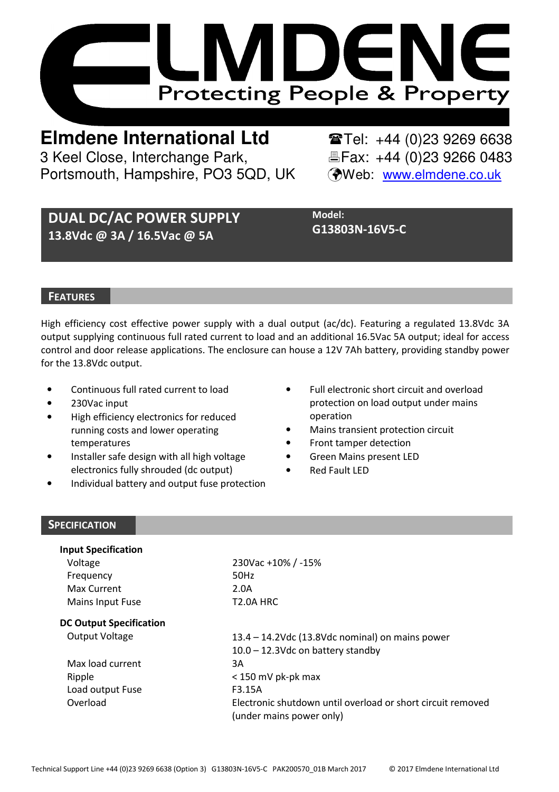

**Elmdene International Ltd** Tel: +44 (0)23 9269 6638 3 Keel Close, Interchange Park, Electric & Fax: +44 (0)23 9266 0483 Portsmouth, Hampshire, PO3 5QD, UK (Web: www.elmdene.co.uk

# DUAL DC/AC POWER SUPPLY 13.8Vdc @ 3A / 16.5Vac @ 5A

Model: G13803N-16V5-C

#### **FEATURES**

High efficiency cost effective power supply with a dual output (ac/dc). Featuring a regulated 13.8Vdc 3A output supplying continuous full rated current to load and an additional 16.5Vac 5A output; ideal for access control and door release applications. The enclosure can house a 12V 7Ah battery, providing standby power for the 13.8Vdc output.

- Continuous full rated current to load
- 230Vac input
- High efficiency electronics for reduced running costs and lower operating temperatures
- Installer safe design with all high voltage electronics fully shrouded (dc output)
- Individual battery and output fuse protection
- Full electronic short circuit and overload protection on load output under mains operation
- Mains transient protection circuit
- Front tamper detection
- Green Mains present LED
- **Red Fault LED**

#### **SPECIFICATION**

| <b>Input Specification</b>     |                                                             |  |
|--------------------------------|-------------------------------------------------------------|--|
| Voltage                        | 230Vac +10% / -15%                                          |  |
| Frequency                      | 50Hz                                                        |  |
| Max Current                    | 2.0A                                                        |  |
| Mains Input Fuse               | T <sub>2.0</sub> A HRC                                      |  |
| <b>DC Output Specification</b> |                                                             |  |
| Output Voltage                 | 13.4 - 14.2Vdc (13.8Vdc nominal) on mains power             |  |
|                                | $10.0 - 12.3$ Vdc on battery standby                        |  |
| Max load current               | 3A                                                          |  |
| Ripple                         | $<$ 150 mV pk-pk max                                        |  |
| Load output Fuse               | F3.15A                                                      |  |
| Overload                       | Electronic shutdown until overload or short circuit removed |  |
|                                | (under mains power only)                                    |  |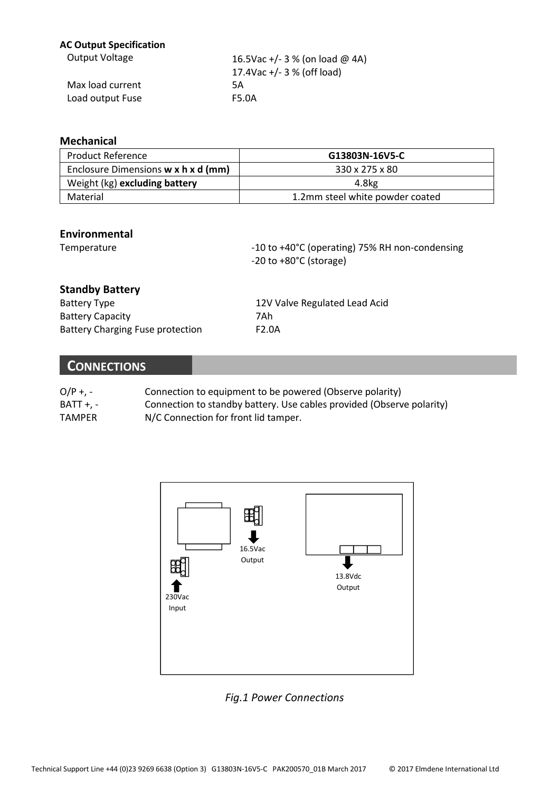#### AC Output Specification

| Output Voltage   | 16.5Vac +/- 3 % (on load @ 4A) |
|------------------|--------------------------------|
|                  | 17.4Vac +/- 3 % (off load)     |
| Max load current | 5Α                             |
| Load output Fuse | F5.0A                          |

#### Mechanical

| <b>Product Reference</b>            | G13803N-16V5-C                  |
|-------------------------------------|---------------------------------|
| Enclosure Dimensions w x h x d (mm) | 330 x 275 x 80                  |
| Weight (kg) excluding battery       | 4.8kg                           |
| Material                            | 1.2mm steel white powder coated |

### Environmental

Temperature  $-10$  to +40°C (operating) 75% RH non-condensing -20 to +80°C (storage)

## Standby Battery

| <b>Battery Type</b>              | 12V Valve Regulated Lead Acid |
|----------------------------------|-------------------------------|
| <b>Battery Capacity</b>          | 7Ah                           |
| Battery Charging Fuse protection | F <sub>2.0</sub> A            |

## **CONNECTIONS**

| $O/P + 1 -$      | Connection to equipment to be powered (Observe polarity)              |
|------------------|-----------------------------------------------------------------------|
| <b>BATT +. -</b> | Connection to standby battery. Use cables provided (Observe polarity) |
| <b>TAMPER</b>    | N/C Connection for front lid tamper.                                  |



## Fig.1 Power Connections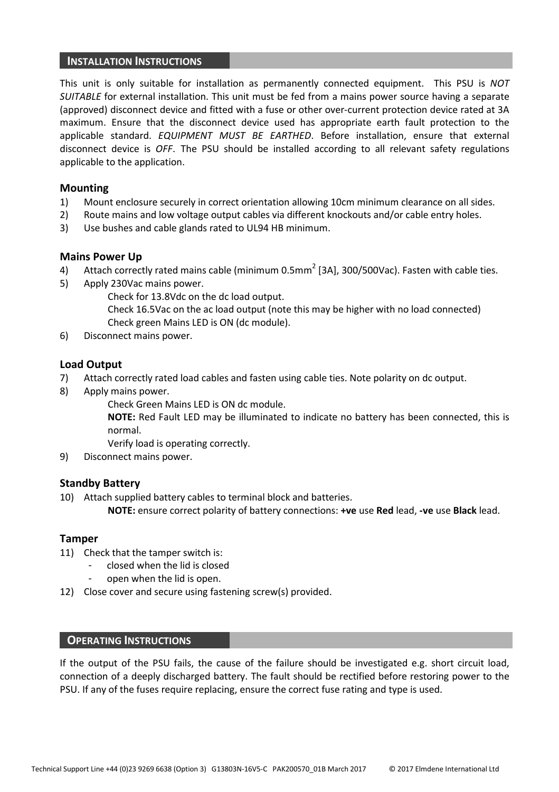#### INSTALLATION INSTRUCTIONS

This unit is only suitable for installation as permanently connected equipment. This PSU is NOT SUITABLE for external installation. This unit must be fed from a mains power source having a separate (approved) disconnect device and fitted with a fuse or other over-current protection device rated at 3A maximum. Ensure that the disconnect device used has appropriate earth fault protection to the applicable standard. EQUIPMENT MUST BE EARTHED. Before installation, ensure that external disconnect device is OFF. The PSU should be installed according to all relevant safety regulations applicable to the application.

#### Mounting

- 1) Mount enclosure securely in correct orientation allowing 10cm minimum clearance on all sides.
- 2) Route mains and low voltage output cables via different knockouts and/or cable entry holes.
- 3) Use bushes and cable glands rated to UL94 HB minimum.

#### Mains Power Up

- 4) Attach correctly rated mains cable (minimum 0.5mm<sup>2</sup> [3A], 300/500Vac). Fasten with cable ties.
- 5) Apply 230Vac mains power.

Check for 13.8Vdc on the dc load output.

Check 16.5Vac on the ac load output (note this may be higher with no load connected) Check green Mains LED is ON (dc module).

6) Disconnect mains power.

#### Load Output

- 7) Attach correctly rated load cables and fasten using cable ties. Note polarity on dc output.
- 8) Apply mains power.

Check Green Mains LED is ON dc module.

NOTE: Red Fault LED may be illuminated to indicate no battery has been connected, this is normal.

Verify load is operating correctly.

9) Disconnect mains power.

#### Standby Battery

10) Attach supplied battery cables to terminal block and batteries.

NOTE: ensure correct polarity of battery connections: +ve use Red lead, -ve use Black lead.

#### Tamper

- 11) Check that the tamper switch is:
	- closed when the lid is closed
	- open when the lid is open.
- 12) Close cover and secure using fastening screw(s) provided.

#### OPERATING INSTRUCTIONS

If the output of the PSU fails, the cause of the failure should be investigated e.g. short circuit load, connection of a deeply discharged battery. The fault should be rectified before restoring power to the PSU. If any of the fuses require replacing, ensure the correct fuse rating and type is used.